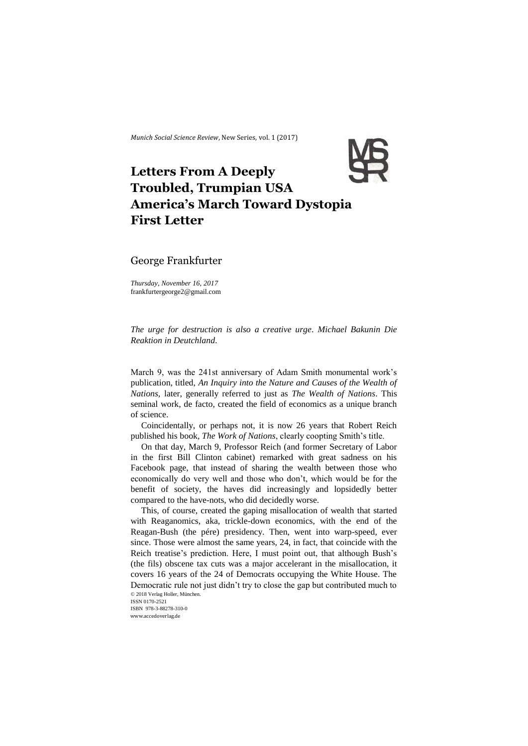*Munich Social Science Review*, New Series, vol. 1 (2017)



# **Letters From A Deeply Troubled, Trumpian USA America's March Toward Dystopia First Letter**

## George Frankfurter

*Thursday, November 16, 2017* frankfurtergeorge2@gmail.com

*The urge for destruction is also a creative urge. Michael Bakunin Die Reaktion in Deutchland.*

March 9, was the 241st anniversary of Adam Smith monumental work's publication, titled, *An Inquiry into the Nature and Causes of the Wealth of Nations,* later, generally referred to just as *The Wealth of Nations*. This seminal work, de facto, created the field of economics as a unique branch of science.

Coincidentally, or perhaps not, it is now 26 years that Robert Reich published his book*, The Work of Nations*, clearly coopting Smith's title.

On that day, March 9, Professor Reich (and former Secretary of Labor in the first Bill Clinton cabinet) remarked with great sadness on his Facebook page, that instead of sharing the wealth between those who economically do very well and those who don't, which would be for the benefit of society, the haves did increasingly and lopsidedly better compared to the have-nots, who did decidedly worse.

© 2018 Verlag Holler, München. This, of course, created the gaping misallocation of wealth that started with Reaganomics, aka, trickle-down economics, with the end of the Reagan-Bush (the pére) presidency. Then, went into warp-speed, ever since. Those were almost the same years, 24, in fact, that coincide with the Reich treatise's prediction. Here, I must point out, that although Bush's (the fils) obscene tax cuts was a major accelerant in the misallocation, it covers 16 years of the 24 of Democrats occupying the White House. The Democratic rule not just didn't try to close the gap but contributed much to

ISSN 0170-2521 ISBN 978-3-88278-310-0 www.accedoverlag.de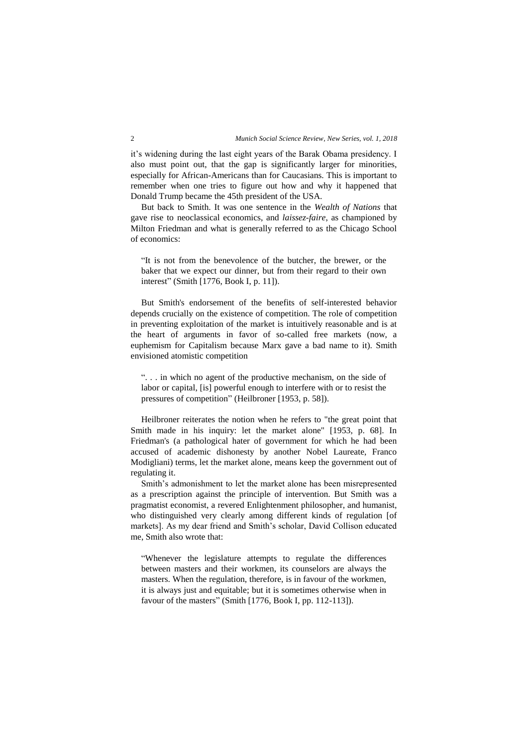it's widening during the last eight years of the Barak Obama presidency. I also must point out, that the gap is significantly larger for minorities, especially for African-Americans than for Caucasians. This is important to remember when one tries to figure out how and why it happened that Donald Trump became the 45th president of the USA.

But back to Smith. It was one sentence in the *Wealth of Nations* that gave rise to neoclassical economics, and *laissez-faire*, as championed by Milton Friedman and what is generally referred to as the Chicago School of economics:

"It is not from the benevolence of the butcher, the brewer, or the baker that we expect our dinner, but from their regard to their own interest" (Smith [1776, Book I, p. 11]).

But Smith's endorsement of the benefits of self-interested behavior depends crucially on the existence of competition. The role of competition in preventing exploitation of the market is intuitively reasonable and is at the heart of arguments in favor of so-called free markets (now, a euphemism for Capitalism because Marx gave a bad name to it). Smith envisioned atomistic competition

". . . in which no agent of the productive mechanism, on the side of labor or capital, [is] powerful enough to interfere with or to resist the pressures of competition" (Heilbroner [1953, p. 58]).

Heilbroner reiterates the notion when he refers to "the great point that Smith made in his inquiry: let the market alone" [1953, p. 68]. In Friedman's (a pathological hater of government for which he had been accused of academic dishonesty by another Nobel Laureate, Franco Modigliani) terms, let the market alone, means keep the government out of regulating it.

Smith's admonishment to let the market alone has been misrepresented as a prescription against the principle of intervention. But Smith was a pragmatist economist, a revered Enlightenment philosopher, and humanist, who distinguished very clearly among different kinds of regulation [of markets]. As my dear friend and Smith's scholar, David Collison educated me, Smith also wrote that:

"Whenever the legislature attempts to regulate the differences between masters and their workmen, its counselors are always the masters. When the regulation, therefore, is in favour of the workmen, it is always just and equitable; but it is sometimes otherwise when in favour of the masters" (Smith [1776, Book I, pp. 112-113]).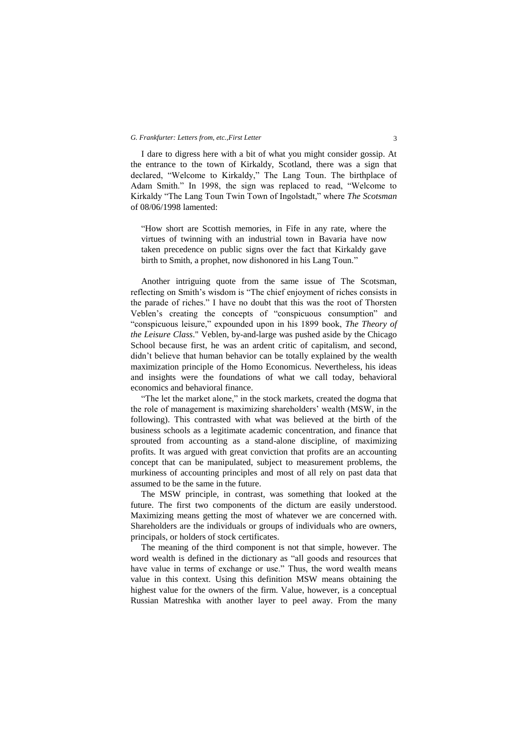#### *G. Frankfurter: Letters from, etc.,First Letter* 3

I dare to digress here with a bit of what you might consider gossip. At the entrance to the town of Kirkaldy, Scotland, there was a sign that declared, "Welcome to Kirkaldy," The Lang Toun. The birthplace of Adam Smith." In 1998, the sign was replaced to read, "Welcome to Kirkaldy "The Lang Toun Twin Town of Ingolstadt," where *The Scotsman*  of 08/06/1998 lamented:

"How short are Scottish memories, in Fife in any rate, where the virtues of twinning with an industrial town in Bavaria have now taken precedence on public signs over the fact that Kirkaldy gave birth to Smith, a prophet, now dishonored in his Lang Toun."

Another intriguing quote from the same issue of The Scotsman, reflecting on Smith's wisdom is "The chief enjoyment of riches consists in the parade of riches." I have no doubt that this was the root of Thorsten Veblen's creating the concepts of "conspicuous consumption" and "conspicuous leisure," expounded upon in his 1899 book, *The Theory of the Leisure Class*." Veblen, by-and-large was pushed aside by the Chicago School because first, he was an ardent critic of capitalism, and second, didn't believe that human behavior can be totally explained by the wealth maximization principle of the Homo Economicus. Nevertheless, his ideas and insights were the foundations of what we call today, behavioral economics and behavioral finance.

"The let the market alone," in the stock markets, created the dogma that the role of management is maximizing shareholders' wealth (MSW, in the following). This contrasted with what was believed at the birth of the business schools as a legitimate academic concentration, and finance that sprouted from accounting as a stand-alone discipline, of maximizing profits. It was argued with great conviction that profits are an accounting concept that can be manipulated, subject to measurement problems, the murkiness of accounting principles and most of all rely on past data that assumed to be the same in the future.

The MSW principle, in contrast, was something that looked at the future. The first two components of the dictum are easily understood. Maximizing means getting the most of whatever we are concerned with. Shareholders are the individuals or groups of individuals who are owners, principals, or holders of stock certificates.

The meaning of the third component is not that simple, however. The word wealth is defined in the dictionary as "all goods and resources that have value in terms of exchange or use." Thus, the word wealth means value in this context. Using this definition MSW means obtaining the highest value for the owners of the firm. Value, however, is a conceptual Russian Matreshka with another layer to peel away. From the many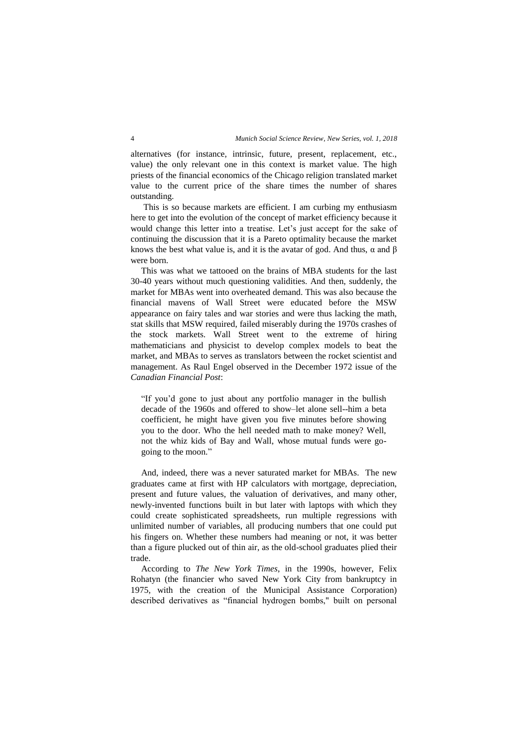alternatives (for instance, intrinsic, future, present, replacement, etc., value) the only relevant one in this context is market value. The high priests of the financial economics of the Chicago religion translated market value to the current price of the share times the number of shares outstanding.

This is so because markets are efficient. I am curbing my enthusiasm here to get into the evolution of the concept of market efficiency because it would change this letter into a treatise. Let's just accept for the sake of continuing the discussion that it is a Pareto optimality because the market knows the best what value is, and it is the avatar of god. And thus,  $\alpha$  and  $\beta$ were born.

This was what we tattooed on the brains of MBA students for the last 30-40 years without much questioning validities. And then, suddenly, the market for MBAs went into overheated demand. This was also because the financial mavens of Wall Street were educated before the MSW appearance on fairy tales and war stories and were thus lacking the math, stat skills that MSW required, failed miserably during the 1970s crashes of the stock markets. Wall Street went to the extreme of hiring mathematicians and physicist to develop complex models to beat the market, and MBAs to serves as translators between the rocket scientist and management. As Raul Engel observed in the December 1972 issue of the *Canadian Financial Post*:

"If you'd gone to just about any portfolio manager in the bullish decade of the 1960s and offered to show–let alone sell--him a beta coefficient, he might have given you five minutes before showing you to the door. Who the hell needed math to make money? Well, not the whiz kids of Bay and Wall, whose mutual funds were gogoing to the moon."

And, indeed, there was a never saturated market for MBAs. The new graduates came at first with HP calculators with mortgage, depreciation, present and future values, the valuation of derivatives, and many other, newly-invented functions built in but later with laptops with which they could create sophisticated spreadsheets, run multiple regressions with unlimited number of variables, all producing numbers that one could put his fingers on. Whether these numbers had meaning or not, it was better than a figure plucked out of thin air, as the old-school graduates plied their trade.

According to *The New York Times*, in the 1990s, however, Felix Rohatyn (the financier who saved New York City from bankruptcy in 1975, with the creation of the Municipal Assistance Corporation) described derivatives as "financial hydrogen bombs," built on personal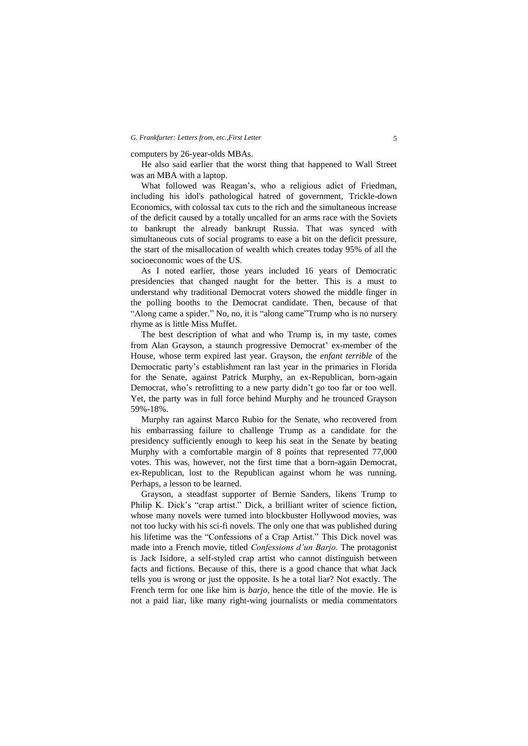#### *G. Frankfurter: Letters from, etc.,First Letter* 5

#### computers by 26-year-olds MBAs.

He also said earlier that the worst thing that happened to Wall Street was an MBA with a laptop.

What followed was Reagan's, who a religious adict of Friedman, including his idol's pathological hatred of government, Trickle-down Economics, with colossal tax cuts to the rich and the simultaneous increase of the deficit caused by a totally uncalled for an arms race with the Soviets to bankrupt the already bankrupt Russia. That was synced with simultaneous cuts of social programs to ease a bit on the deficit pressure, the start of the misallocation of wealth which creates today 95% of all the socioeconomic woes of the US.

As I noted earlier, those years included 16 years of Democratic presidencies that changed naught for the better. This is a must to understand why traditional Democrat voters showed the middle finger in the polling booths to the Democrat candidate. Then, because of that "Along came a spider." No, no, it is "along came"Trump who is no nursery rhyme as is little Miss Muffet.

The best description of what and who Trump is, in my taste, comes from Alan Grayson, a staunch progressive Democrat' ex-member of the House, whose term expired last year. Grayson, the *enfant terrible* of the Democratic party's establishment ran last year in the primaries in Florida for the Senate, against Patrick Murphy, an ex-Republican, born-again Democrat, who's retrofitting to a new party didn't go too far or too well. Yet, the party was in full force behind Murphy and he trounced Grayson 59%-18%.

Murphy ran against Marco Rubio for the Senate, who recovered from his embarrassing failure to challenge Trump as a candidate for the presidency sufficiently enough to keep his seat in the Senate by beating Murphy with a comfortable margin of 8 points that represented 77,000 votes. This was, however, not the first time that a born-again Democrat, ex-Republican, lost to the Republican against whom he was running. Perhaps, a lesson to be learned.

Grayson, a steadfast supporter of Bernie Sanders, likens Trump to Philip K. Dick's "crap artist." Dick, a brilliant writer of science fiction, whose many novels were turned into blockbuster Hollywood movies, was not too lucky with his sci-fi novels. The only one that was published during his lifetime was the "Confessions of a Crap Artist." This Dick novel was made into a French movie, titled *Confessions d'un Barjo.* The protagonist is Jack Isidore, a self-styled crap artist who cannot distinguish between facts and fictions. Because of this, there is a good chance that what Jack tells you is wrong or just the opposite. Is he a total liar? Not exactly. The French term for one like him is *barjo*, hence the title of the movie. He is not a paid liar, like many right-wing journalists or media commentators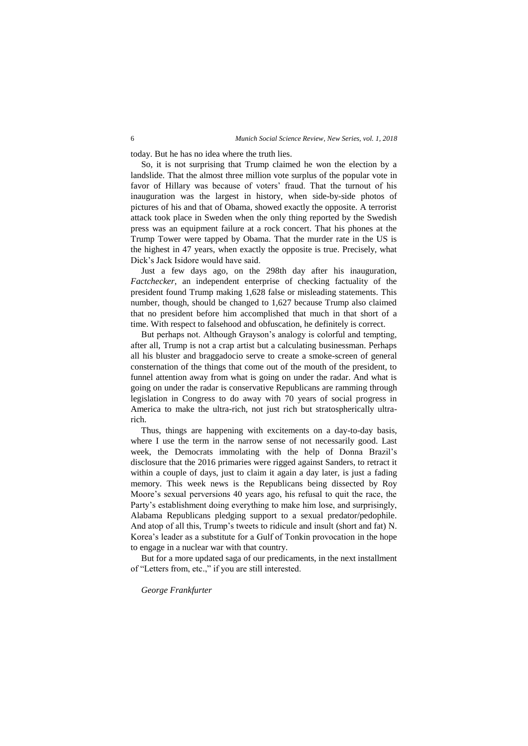today. But he has no idea where the truth lies.

So, it is not surprising that Trump claimed he won the election by a landslide. That the almost three million vote surplus of the popular vote in favor of Hillary was because of voters' fraud. That the turnout of his inauguration was the largest in history, when side-by-side photos of pictures of his and that of Obama, showed exactly the opposite. A terrorist attack took place in Sweden when the only thing reported by the Swedish press was an equipment failure at a rock concert. That his phones at the Trump Tower were tapped by Obama. That the murder rate in the US is the highest in 47 years, when exactly the opposite is true. Precisely, what Dick's Jack Isidore would have said.

Just a few days ago, on the 298th day after his inauguration, *Factchecker*, an independent enterprise of checking factuality of the president found Trump making 1,628 false or misleading statements. This number, though, should be changed to 1,627 because Trump also claimed that no president before him accomplished that much in that short of a time. With respect to falsehood and obfuscation, he definitely is correct.

But perhaps not. Although Grayson's analogy is colorful and tempting, after all, Trump is not a crap artist but a calculating businessman. Perhaps all his bluster and braggadocio serve to create a smoke-screen of general consternation of the things that come out of the mouth of the president, to funnel attention away from what is going on under the radar. And what is going on under the radar is conservative Republicans are ramming through legislation in Congress to do away with 70 years of social progress in America to make the ultra-rich, not just rich but stratospherically ultrarich.

Thus, things are happening with excitements on a day-to-day basis, where I use the term in the narrow sense of not necessarily good. Last week, the Democrats immolating with the help of Donna Brazil's disclosure that the 2016 primaries were rigged against Sanders, to retract it within a couple of days, just to claim it again a day later, is just a fading memory. This week news is the Republicans being dissected by Roy Moore's sexual perversions 40 years ago, his refusal to quit the race, the Party's establishment doing everything to make him lose, and surprisingly, Alabama Republicans pledging support to a sexual predator/pedophile. And atop of all this, Trump's tweets to ridicule and insult (short and fat) N. Korea's leader as a substitute for a Gulf of Tonkin provocation in the hope to engage in a nuclear war with that country.

But for a more updated saga of our predicaments, in the next installment of "Letters from, etc.," if you are still interested.

### *George Frankfurter*